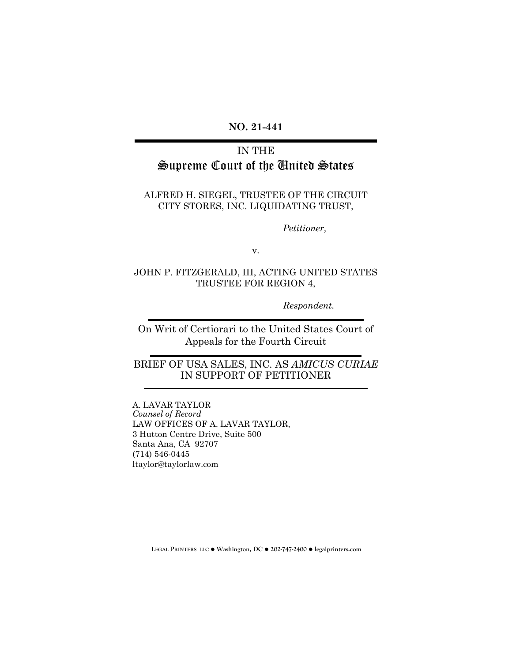### **NO. 21-441**

# IN THE Supreme Court of the United States

#### ALFRED H. SIEGEL, TRUSTEE OF THE CIRCUIT CITY STORES, INC. LIQUIDATING TRUST,

*Petitioner,* 

v.

#### JOHN P. FITZGERALD, III, ACTING UNITED STATES TRUSTEE FOR REGION 4,

*Respondent.*

On Writ of Certiorari to the United States Court of Appeals for the Fourth Circuit

## BRIEF OF USA SALES, INC. AS *AMICUS CURIAE* IN SUPPORT OF PETITIONER

A. LAVAR TAYLOR *Counsel of Record* LAW OFFICES OF A. LAVAR TAYLOR, 3 Hutton Centre Drive, Suite 500 Santa Ana, CA 92707 (714) 546-0445 ltaylor@taylorlaw.com

**LEGAL PRINTERS LLC** ! **Washington, DC** ! **202-747-2400** ! **legalprinters.com**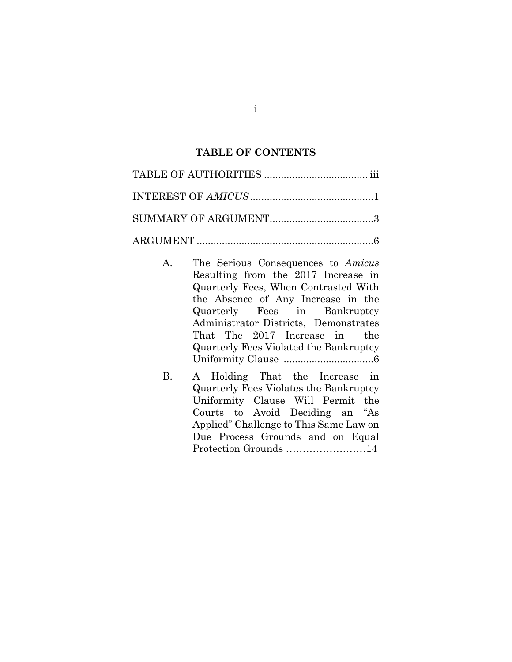### **TABLE OF CONTENTS**

- A. The Serious Consequences to *Amicus* Resulting from the 2017 Increase in Quarterly Fees, When Contrasted With the Absence of Any Increase in the Quarterly Fees in Bankruptcy Administrator Districts, Demonstrates That The 2017 Increase in the Quarterly Fees Violated the Bankruptcy Uniformity Clause ................................ 6
- B. A Holding That the Increase in Quarterly Fees Violates the Bankruptcy Uniformity Clause Will Permit the Courts to Avoid Deciding an "As Applied" Challenge to This Same Law on Due Process Grounds and on Equal Protection Grounds ……………………14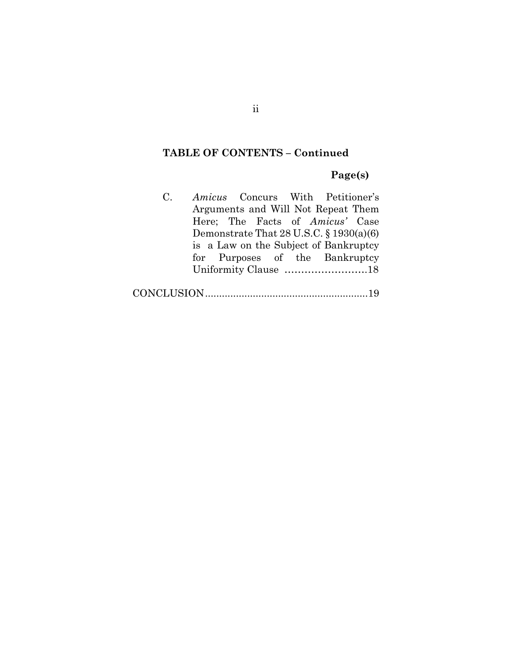## **TABLE OF CONTENTS – Continued**

### **Page(s)**

C. *Amicus* Concurs With Petitioner's Arguments and Will Not Repeat Them Here; The Facts of *Amicus'* Case Demonstrate That 28 U.S.C. § 1930(a)(6) is a Law on the Subject of Bankruptcy for Purposes of the Bankruptcy Uniformity Clause …………………….18

CONCLUSION..........................................................19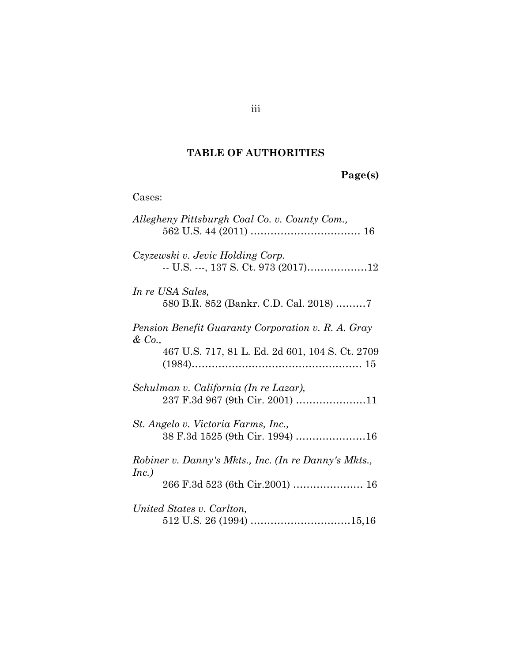## **TABLE OF AUTHORITIES**

| age(s) |  |
|--------|--|
|        |  |

| Cases:                                                                                                         |
|----------------------------------------------------------------------------------------------------------------|
| Allegheny Pittsburgh Coal Co. v. County Com.,                                                                  |
| Czyzewski v. Jevic Holding Corp.<br>-- U.S. ---, 137 S. Ct. 973 (2017)12                                       |
| In re USA Sales,<br>580 B.R. 852 (Bankr. C.D. Cal. 2018) 7                                                     |
| Pension Benefit Guaranty Corporation v. R. A. Gray<br>& Co.<br>467 U.S. 717, 81 L. Ed. 2d 601, 104 S. Ct. 2709 |
| Schulman v. California (In re Lazar),<br>237 F.3d 967 (9th Cir. 2001) 11                                       |
| St. Angelo v. Victoria Farms, Inc.,<br>38 F.3d 1525 (9th Cir. 1994) 16                                         |
| Robiner v. Danny's Mkts., Inc. (In re Danny's Mkts.,<br>Inc.)                                                  |
| United States v. Carlton,                                                                                      |

iii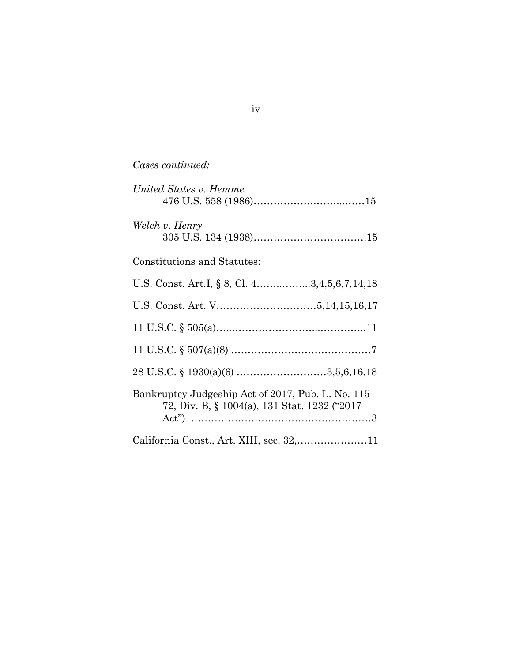## *Cases continued:*

| United States v. Hemme                                                                             |
|----------------------------------------------------------------------------------------------------|
| Welch v. Henry                                                                                     |
| Constitutions and Statutes:                                                                        |
| U.S. Const. Art.I, § 8, Cl. 43,4,5,6,7,14,18                                                       |
|                                                                                                    |
|                                                                                                    |
|                                                                                                    |
|                                                                                                    |
| Bankruptcy Judgeship Act of 2017, Pub. L. No. 115-<br>72, Div. B, § 1004(a), 131 Stat. 1232 ("2017 |
| California Const., Art. XIII, sec. 32,11                                                           |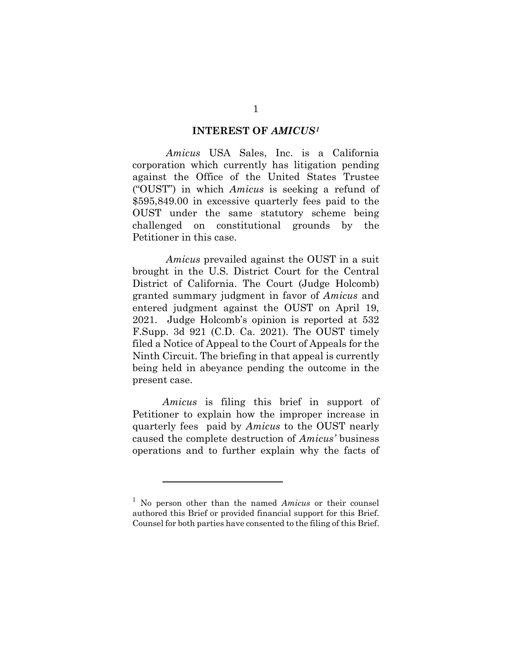#### **INTEREST OF** *AMICUS[1](#page-5-0)*

*Amicus* USA Sales, Inc. is a California corporation which currently has litigation pending against the Office of the United States Trustee ("OUST") in which *Amicus* is seeking a refund of \$595,849.00 in excessive quarterly fees paid to the OUST under the same statutory scheme being challenged on constitutional grounds by the Petitioner in this case.

*Amicus* prevailed against the OUST in a suit brought in the U.S. District Court for the Central District of California. The Court (Judge Holcomb) granted summary judgment in favor of *Amicus* and entered judgment against the OUST on April 19, 2021. Judge Holcomb's opinion is reported at 532 F.Supp. 3d 921 (C.D. Ca. 2021). The OUST timely filed a Notice of Appeal to the Court of Appeals for the Ninth Circuit. The briefing in that appeal is currently being held in abeyance pending the outcome in the present case.

*Amicus* is filing this brief in support of Petitioner to explain how the improper increase in quarterly fees paid by *Amicus* to the OUST nearly caused the complete destruction of *Amicus'* business operations and to further explain why the facts of

<span id="page-5-0"></span><sup>1</sup> No person other than the named *Amicus* or their counsel authored this Brief or provided financial support for this Brief. Counsel for both parties have consented to the filing of this Brief.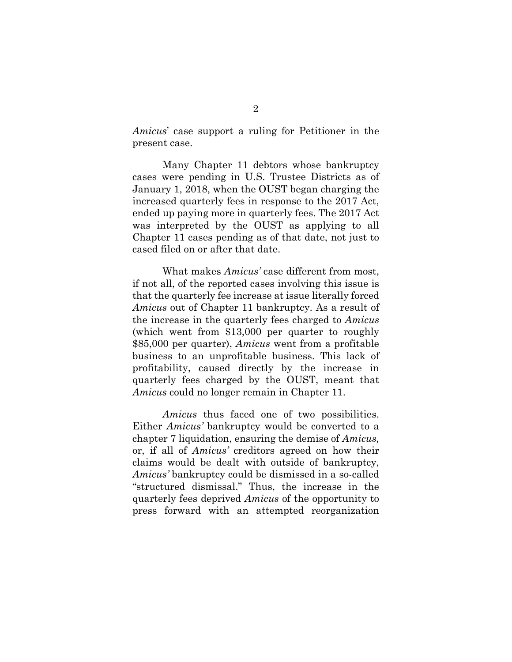*Amicus*' case support a ruling for Petitioner in the present case.

Many Chapter 11 debtors whose bankruptcy cases were pending in U.S. Trustee Districts as of January 1, 2018, when the OUST began charging the increased quarterly fees in response to the 2017 Act, ended up paying more in quarterly fees. The 2017 Act was interpreted by the OUST as applying to all Chapter 11 cases pending as of that date, not just to cased filed on or after that date.

What makes *Amicus'* case different from most, if not all, of the reported cases involving this issue is that the quarterly fee increase at issue literally forced *Amicus* out of Chapter 11 bankruptcy. As a result of the increase in the quarterly fees charged to *Amicus* (which went from \$13,000 per quarter to roughly \$85,000 per quarter), *Amicus* went from a profitable business to an unprofitable business. This lack of profitability, caused directly by the increase in quarterly fees charged by the OUST, meant that *Amicus* could no longer remain in Chapter 11.

*Amicus* thus faced one of two possibilities. Either *Amicus'* bankruptcy would be converted to a chapter 7 liquidation, ensuring the demise of *Amicus,* or, if all of *Amicus'* creditors agreed on how their claims would be dealt with outside of bankruptcy, *Amicus'* bankruptcy could be dismissed in a so-called "structured dismissal." Thus, the increase in the quarterly fees deprived *Amicus* of the opportunity to press forward with an attempted reorganization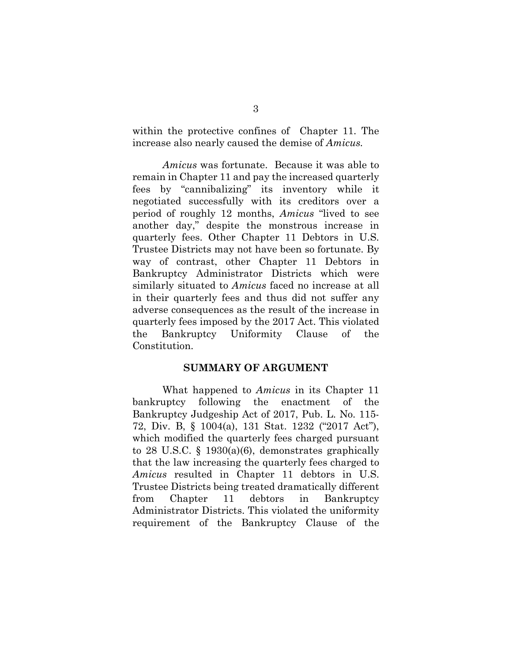within the protective confines of Chapter 11. The increase also nearly caused the demise of *Amicus.*

*Amicus* was fortunate. Because it was able to remain in Chapter 11 and pay the increased quarterly fees by "cannibalizing" its inventory while it negotiated successfully with its creditors over a period of roughly 12 months, *Amicus* "lived to see another day," despite the monstrous increase in quarterly fees. Other Chapter 11 Debtors in U.S. Trustee Districts may not have been so fortunate. By way of contrast, other Chapter 11 Debtors in Bankruptcy Administrator Districts which were similarly situated to *Amicus* faced no increase at all in their quarterly fees and thus did not suffer any adverse consequences as the result of the increase in quarterly fees imposed by the 2017 Act. This violated the Bankruptcy Uniformity Clause of the Constitution.

#### **SUMMARY OF ARGUMENT**

What happened to *Amicus* in its Chapter 11 bankruptcy following the enactment of the Bankruptcy Judgeship Act of 2017, Pub. L. No. 115- 72, Div. B, § 1004(a), 131 Stat. 1232 ("2017 Act"), which modified the quarterly fees charged pursuant to 28 U.S.C. § 1930(a)(6), demonstrates graphically that the law increasing the quarterly fees charged to *Amicus* resulted in Chapter 11 debtors in U.S. Trustee Districts being treated dramatically different from Chapter 11 debtors in Bankruptcy Administrator Districts. This violated the uniformity requirement of the Bankruptcy Clause of the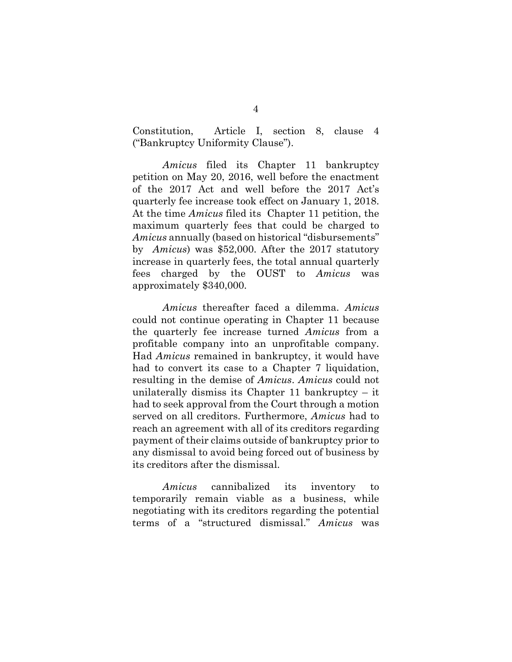Constitution, Article I, section 8, clause 4 ("Bankruptcy Uniformity Clause").

*Amicus* filed its Chapter 11 bankruptcy petition on May 20, 2016, well before the enactment of the 2017 Act and well before the 2017 Act's quarterly fee increase took effect on January 1, 2018. At the time *Amicus* filed its Chapter 11 petition, the maximum quarterly fees that could be charged to *Amicus* annually (based on historical "disbursements" by *Amicus*) was \$52,000. After the 2017 statutory increase in quarterly fees, the total annual quarterly fees charged by the OUST to *Amicus* was approximately \$340,000.

*Amicus* thereafter faced a dilemma. *Amicus*  could not continue operating in Chapter 11 because the quarterly fee increase turned *Amicus* from a profitable company into an unprofitable company. Had *Amicus* remained in bankruptcy, it would have had to convert its case to a Chapter 7 liquidation, resulting in the demise of *Amicus*. *Amicus* could not unilaterally dismiss its Chapter 11 bankruptcy  $-$  it had to seek approval from the Court through a motion served on all creditors. Furthermore, *Amicus* had to reach an agreement with all of its creditors regarding payment of their claims outside of bankruptcy prior to any dismissal to avoid being forced out of business by its creditors after the dismissal.

*Amicus* cannibalized its inventory to temporarily remain viable as a business, while negotiating with its creditors regarding the potential terms of a "structured dismissal." *Amicus* was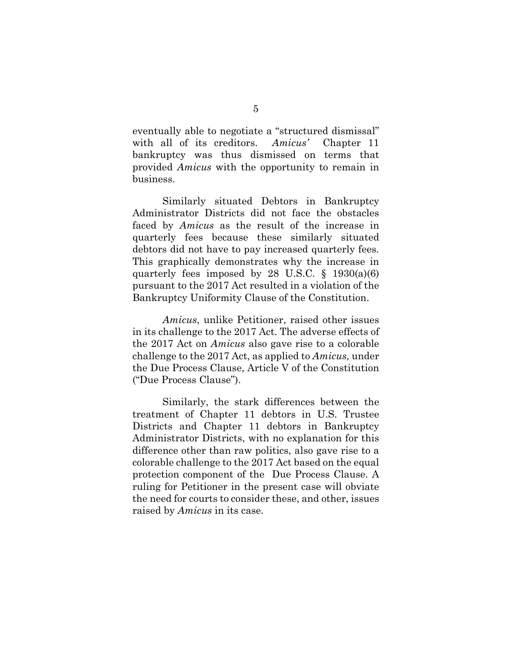eventually able to negotiate a "structured dismissal" with all of its creditors. *Amicus'* Chapter 11 bankruptcy was thus dismissed on terms that provided *Amicus* with the opportunity to remain in business.

Similarly situated Debtors in Bankruptcy Administrator Districts did not face the obstacles faced by *Amicus* as the result of the increase in quarterly fees because these similarly situated debtors did not have to pay increased quarterly fees. This graphically demonstrates why the increase in quarterly fees imposed by 28 U.S.C.  $\S$  1930(a)(6) pursuant to the 2017 Act resulted in a violation of the Bankruptcy Uniformity Clause of the Constitution.

*Amicus*, unlike Petitioner, raised other issues in its challenge to the 2017 Act. The adverse effects of the 2017 Act on *Amicus* also gave rise to a colorable challenge to the 2017 Act, as applied to *Amicus,* under the Due Process Clause, Article V of the Constitution ("Due Process Clause").

Similarly, the stark differences between the treatment of Chapter 11 debtors in U.S. Trustee Districts and Chapter 11 debtors in Bankruptcy Administrator Districts, with no explanation for this difference other than raw politics, also gave rise to a colorable challenge to the 2017 Act based on the equal protection component of the Due Process Clause. A ruling for Petitioner in the present case will obviate the need for courts to consider these, and other, issues raised by *Amicus* in its case.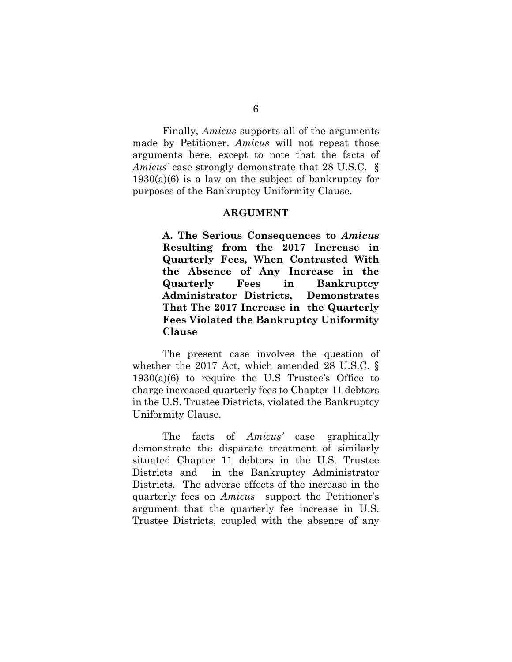Finally, *Amicus* supports all of the arguments made by Petitioner. *Amicus* will not repeat those arguments here, except to note that the facts of *Amicus'* case strongly demonstrate that 28 U.S.C. §  $1930(a)(6)$  is a law on the subject of bankruptcy for purposes of the Bankruptcy Uniformity Clause.

#### **ARGUMENT**

**A. The Serious Consequences to** *Amicus* **Resulting from the 2017 Increase in Quarterly Fees, When Contrasted With the Absence of Any Increase in the Quarterly Fees in Bankruptcy Administrator Districts, Demonstrates That The 2017 Increase in the Quarterly Fees Violated the Bankruptcy Uniformity Clause** 

The present case involves the question of whether the 2017 Act, which amended 28 U.S.C. §  $1930(a)(6)$  to require the U.S Trustee's Office to charge increased quarterly fees to Chapter 11 debtors in the U.S. Trustee Districts, violated the Bankruptcy Uniformity Clause.

The facts of *Amicus'* case graphically demonstrate the disparate treatment of similarly situated Chapter 11 debtors in the U.S. Trustee Districts and in the Bankruptcy Administrator Districts. The adverse effects of the increase in the quarterly fees on *Amicus* support the Petitioner's argument that the quarterly fee increase in U.S. Trustee Districts, coupled with the absence of any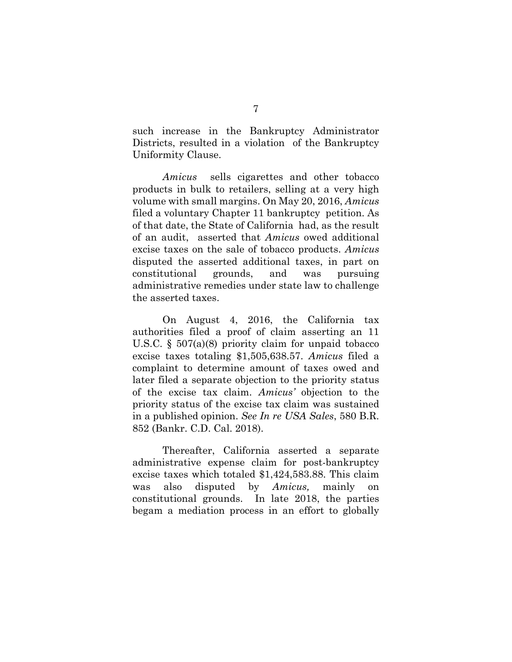such increase in the Bankruptcy Administrator Districts, resulted in a violation of the Bankruptcy Uniformity Clause.

*Amicus* sells cigarettes and other tobacco products in bulk to retailers, selling at a very high volume with small margins. On May 20, 2016, *Amicus* filed a voluntary Chapter 11 bankruptcy petition. As of that date, the State of California had, as the result of an audit, asserted that *Amicus* owed additional excise taxes on the sale of tobacco products. *Amicus* disputed the asserted additional taxes, in part on constitutional grounds, and was pursuing administrative remedies under state law to challenge the asserted taxes.

On August 4, 2016, the California tax authorities filed a proof of claim asserting an 11 U.S.C. § 507(a)(8) priority claim for unpaid tobacco excise taxes totaling \$1,505,638.57. *Amicus* filed a complaint to determine amount of taxes owed and later filed a separate objection to the priority status of the excise tax claim. *Amicus'* objection to the priority status of the excise tax claim was sustained in a published opinion. *See In re USA Sales*, 580 B.R. 852 (Bankr. C.D. Cal. 2018).

Thereafter, California asserted a separate administrative expense claim for post-bankruptcy excise taxes which totaled \$1,424,583.88. This claim was also disputed by *Amicus,* mainly on constitutional grounds. In late 2018, the parties begam a mediation process in an effort to globally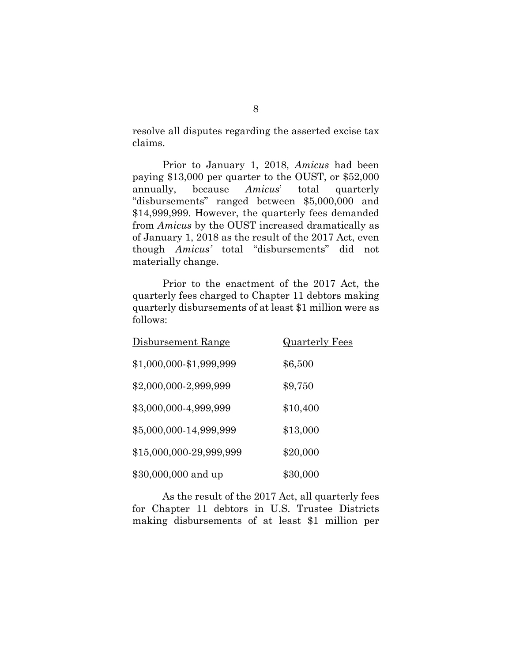resolve all disputes regarding the asserted excise tax claims.

Prior to January 1, 2018, *Amicus* had been paying \$13,000 per quarter to the OUST, or \$52,000 annually, because *Amicus*' total quarterly "disbursements" ranged between \$5,000,000 and \$14,999,999. However, the quarterly fees demanded from *Amicus* by the OUST increased dramatically as of January 1, 2018 as the result of the 2017 Act, even though *Amicus'* total "disbursements" did not materially change.

Prior to the enactment of the 2017 Act, the quarterly fees charged to Chapter 11 debtors making quarterly disbursements of at least \$1 million were as follows:

| Disbursement Range      | <u>Quarterly Fees</u> |
|-------------------------|-----------------------|
| \$1,000,000-\$1,999,999 | \$6,500               |
| \$2,000,000-2,999,999   | \$9,750               |
| \$3,000,000-4,999,999   | \$10,400              |
| \$5,000,000-14,999,999  | \$13,000              |
| \$15,000,000-29,999,999 | \$20,000              |
| \$30,000,000 and up     | \$30,000              |

As the result of the 2017 Act, all quarterly fees for Chapter 11 debtors in U.S. Trustee Districts making disbursements of at least \$1 million per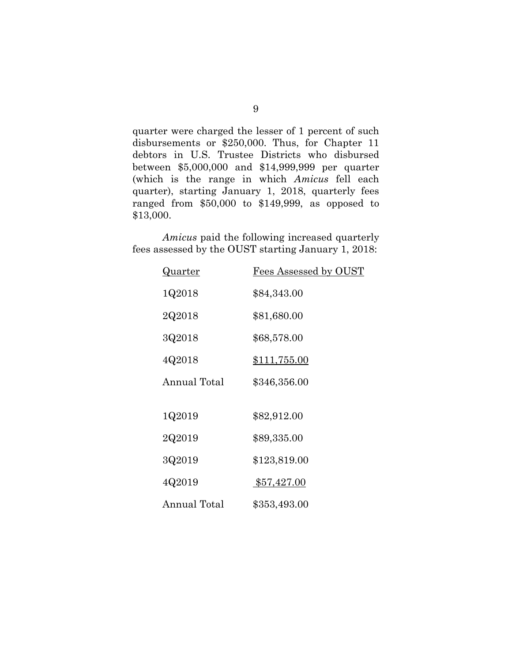quarter were charged the lesser of 1 percent of such disbursements or \$250,000. Thus, for Chapter 11 debtors in U.S. Trustee Districts who disbursed between \$5,000,000 and \$14,999,999 per quarter (which is the range in which *Amicus* fell each quarter), starting January 1, 2018, quarterly fees ranged from \$50,000 to \$149,999, as opposed to \$13,000.

*Amicus* paid the following increased quarterly fees assessed by the OUST starting January 1, 2018:

| <u>Quarter</u> | Fees Assessed by OUST |
|----------------|-----------------------|
| 1Q2018         | \$84,343.00           |
| 2Q2018         | \$81,680.00           |
| 3Q2018         | \$68,578.00           |
| 4Q2018         | <u>\$111,755.00</u>   |
| Annual Total   | \$346,356.00          |
|                |                       |
| 1Q2019         | \$82,912.00           |
| 2Q2019         | \$89,335.00           |
| 3Q2019         | \$123,819.00          |
| 4Q2019         | \$57,427.00           |
| Annual Total   | \$353,493.00          |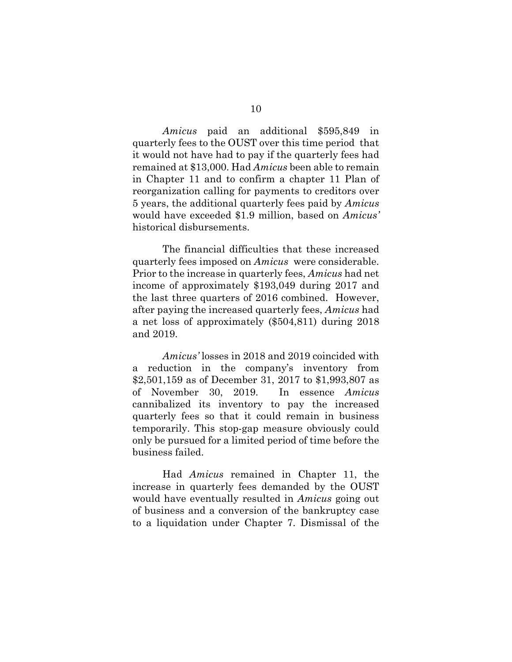*Amicus* paid an additional \$595,849 in quarterly fees to the OUST over this time period that it would not have had to pay if the quarterly fees had remained at \$13,000. Had *Amicus* been able to remain in Chapter 11 and to confirm a chapter 11 Plan of reorganization calling for payments to creditors over 5 years, the additional quarterly fees paid by *Amicus* would have exceeded \$1.9 million, based on *Amicus'*  historical disbursements.

The financial difficulties that these increased quarterly fees imposed on *Amicus* were considerable. Prior to the increase in quarterly fees, *Amicus* had net income of approximately \$193,049 during 2017 and the last three quarters of 2016 combined. However, after paying the increased quarterly fees, *Amicus* had a net loss of approximately (\$504,811) during 2018 and 2019.

*Amicus'* losses in 2018 and 2019 coincided with a reduction in the company's inventory from \$2,501,159 as of December 31, 2017 to \$1,993,807 as of November 30, 2019. In essence *Amicus* cannibalized its inventory to pay the increased quarterly fees so that it could remain in business temporarily. This stop-gap measure obviously could only be pursued for a limited period of time before the business failed.

Had *Amicus* remained in Chapter 11, the increase in quarterly fees demanded by the OUST would have eventually resulted in *Amicus* going out of business and a conversion of the bankruptcy case to a liquidation under Chapter 7. Dismissal of the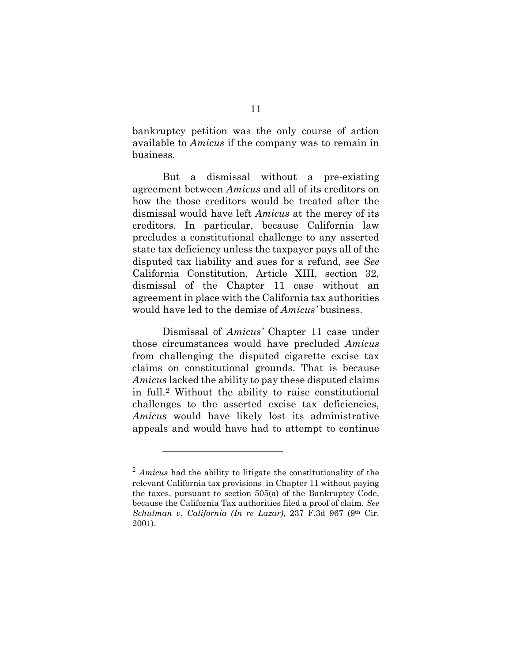bankruptcy petition was the only course of action available to *Amicus* if the company was to remain in business.

But a dismissal without a pre-existing agreement between *Amicus* and all of its creditors on how the those creditors would be treated after the dismissal would have left *Amicus* at the mercy of its creditors. In particular, because California law precludes a constitutional challenge to any asserted state tax deficiency unless the taxpayer pays all of the disputed tax liability and sues for a refund, see *See* California Constitution, Article XIII, section 32, dismissal of the Chapter 11 case without an agreement in place with the California tax authorities would have led to the demise of *Amicus'* business.

Dismissal of *Amicus'* Chapter 11 case under those circumstances would have precluded *Amicus* from challenging the disputed cigarette excise tax claims on constitutional grounds. That is because *Amicus* lacked the ability to pay these disputed claims in full.[2](#page-15-0) Without the ability to raise constitutional challenges to the asserted excise tax deficiencies, *Amicus* would have likely lost its administrative appeals and would have had to attempt to continue

<span id="page-15-0"></span><sup>2</sup> *Amicus* had the ability to litigate the constitutionality of the relevant California tax provisions in Chapter 11 without paying the taxes, pursuant to section 505(a) of the Bankruptcy Code, because the California Tax authorities filed a proof of claim. *See Schulman v. California (In re Lazar)*, 237 F.3d 967 (9th Cir. 2001).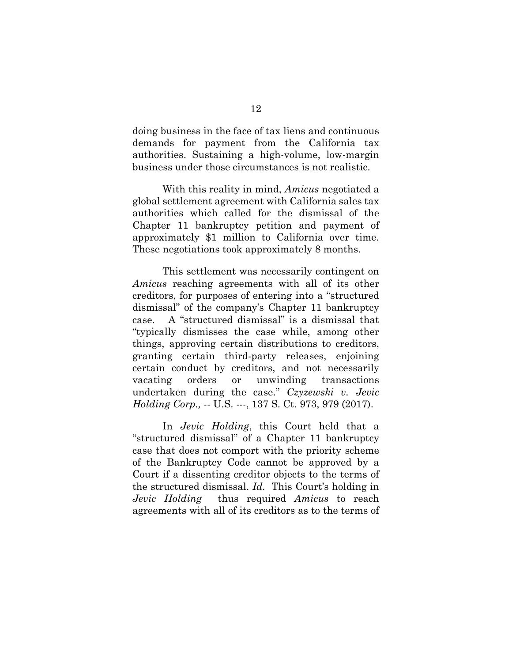doing business in the face of tax liens and continuous demands for payment from the California tax authorities. Sustaining a high-volume, low-margin business under those circumstances is not realistic.

With this reality in mind, *Amicus* negotiated a global settlement agreement with California sales tax authorities which called for the dismissal of the Chapter 11 bankruptcy petition and payment of approximately \$1 million to California over time. These negotiations took approximately 8 months.

This settlement was necessarily contingent on *Amicus* reaching agreements with all of its other creditors, for purposes of entering into a "structured dismissal" of the company's Chapter 11 bankruptcy case. A "structured dismissal" is a dismissal that "typically dismisses the case while, among other things, approving certain distributions to creditors, granting certain third-party releases, enjoining certain conduct by creditors, and not necessarily vacating orders or unwinding transactions undertaken during the case." *Czyzewski v. Jevic Holding Corp.,* -- U.S. ---, 137 S. Ct. 973, 979 (2017).

In *Jevic Holding*, this Court held that a "structured dismissal" of a Chapter 11 bankruptcy case that does not comport with the priority scheme of the Bankruptcy Code cannot be approved by a Court if a dissenting creditor objects to the terms of the structured dismissal. *Id.* This Court's holding in *Jevic Holding* thus required *Amicus* to reach agreements with all of its creditors as to the terms of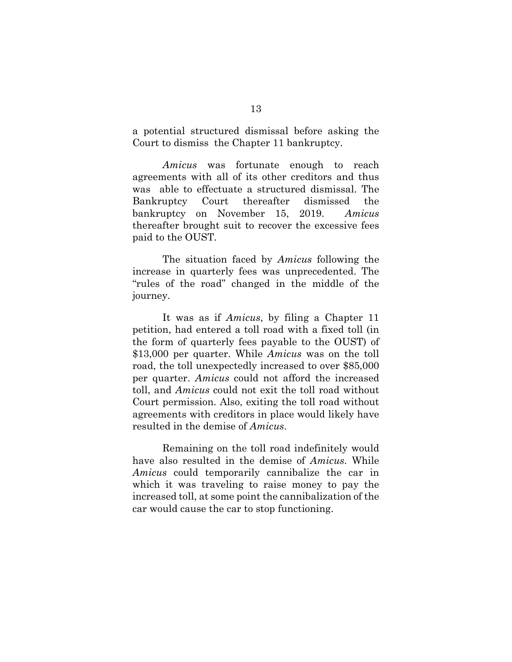a potential structured dismissal before asking the Court to dismiss the Chapter 11 bankruptcy.

*Amicus* was fortunate enough to reach agreements with all of its other creditors and thus was able to effectuate a structured dismissal. The Bankruptcy Court thereafter dismissed the bankruptcy on November 15, 2019. *Amicus*  thereafter brought suit to recover the excessive fees paid to the OUST.

The situation faced by *Amicus* following the increase in quarterly fees was unprecedented. The "rules of the road" changed in the middle of the journey.

It was as if *Amicus*, by filing a Chapter 11 petition, had entered a toll road with a fixed toll (in the form of quarterly fees payable to the OUST) of \$13,000 per quarter. While *Amicus* was on the toll road, the toll unexpectedly increased to over \$85,000 per quarter. *Amicus* could not afford the increased toll, and *Amicus* could not exit the toll road without Court permission. Also, exiting the toll road without agreements with creditors in place would likely have resulted in the demise of *Amicus*.

Remaining on the toll road indefinitely would have also resulted in the demise of *Amicus*. While *Amicus* could temporarily cannibalize the car in which it was traveling to raise money to pay the increased toll, at some point the cannibalization of the car would cause the car to stop functioning.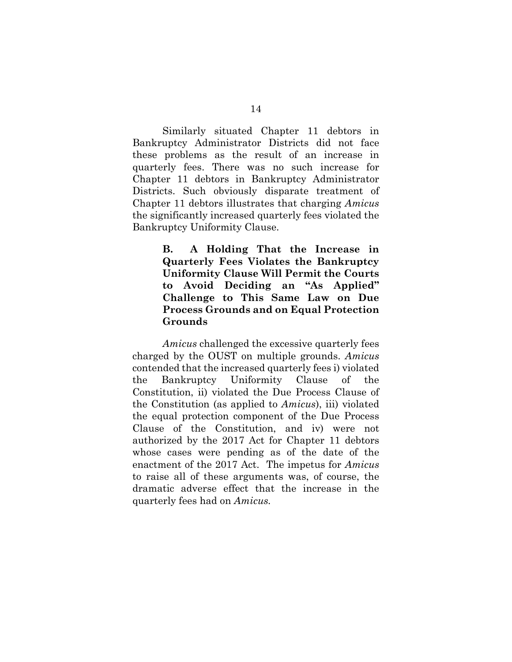Similarly situated Chapter 11 debtors in Bankruptcy Administrator Districts did not face these problems as the result of an increase in quarterly fees. There was no such increase for Chapter 11 debtors in Bankruptcy Administrator Districts. Such obviously disparate treatment of Chapter 11 debtors illustrates that charging *Amicus*  the significantly increased quarterly fees violated the Bankruptcy Uniformity Clause.

> **B. A Holding That the Increase in Quarterly Fees Violates the Bankruptcy Uniformity Clause Will Permit the Courts to Avoid Deciding an "As Applied" Challenge to This Same Law on Due Process Grounds and on Equal Protection Grounds**

*Amicus* challenged the excessive quarterly fees charged by the OUST on multiple grounds. *Amicus* contended that the increased quarterly fees i) violated the Bankruptcy Uniformity Clause of the Constitution, ii) violated the Due Process Clause of the Constitution (as applied to *Amicus*), iii) violated the equal protection component of the Due Process Clause of the Constitution, and iv) were not authorized by the 2017 Act for Chapter 11 debtors whose cases were pending as of the date of the enactment of the 2017 Act. The impetus for *Amicus* to raise all of these arguments was, of course, the dramatic adverse effect that the increase in the quarterly fees had on *Amicus.*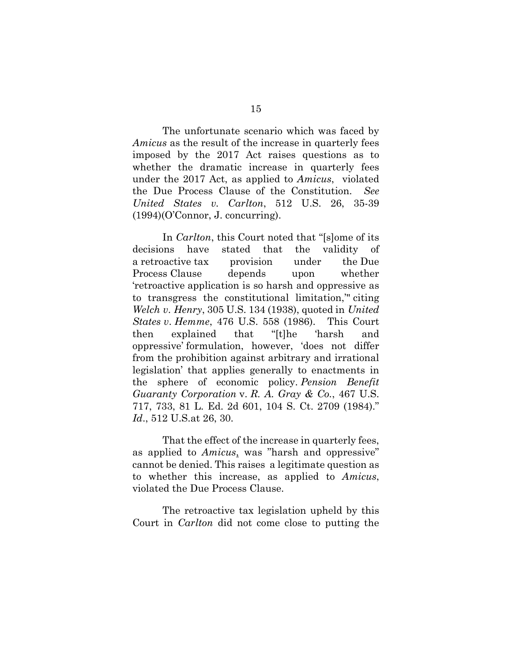The unfortunate scenario which was faced by *Amicus* as the result of the increase in quarterly fees imposed by the 2017 Act raises questions as to whether the dramatic increase in quarterly fees under the 2017 Act, as applied to *Amicus*, violated the Due Process Clause of the Constitution. *See United States v. Carlton*, 512 U.S. 26, 35-39 (1994)(O'Connor, J. concurring).

In *Carlton*, this Court noted that "[s]ome of its decisions have stated that the validity of a retroactive tax provision under the Due Process Clause depends upon whether 'retroactive application is so harsh and oppressive as to transgress the constitutional limitation,'" citing *Welch v*. *Henry*, 305 U.S. 134 (1938), quoted in *United States v*. *Hemme*, 476 U.S. 558 (1986). This Court then explained that "[t]he 'harsh and oppressive' formulation, however, 'does not differ from the prohibition against arbitrary and irrational legislation' that applies generally to enactments in the sphere of economic policy. *Pension Benefit Guaranty Corporation* v. *R. A. Gray & Co.*, 467 U.S. 717, 733, 81 L. Ed. 2d 601, 104 S. Ct. 2709 (1984)." *Id*., 512 U.S.at 26, 30.

That the effect of the increase in quarterly fees, as applied to *Amicus*, was "harsh and oppressive" cannot be denied. This raises a legitimate question as to whether this increase, as applied to *Amicus*, violated the Due Process Clause.

The retroactive tax legislation upheld by this Court in *Carlton* did not come close to putting the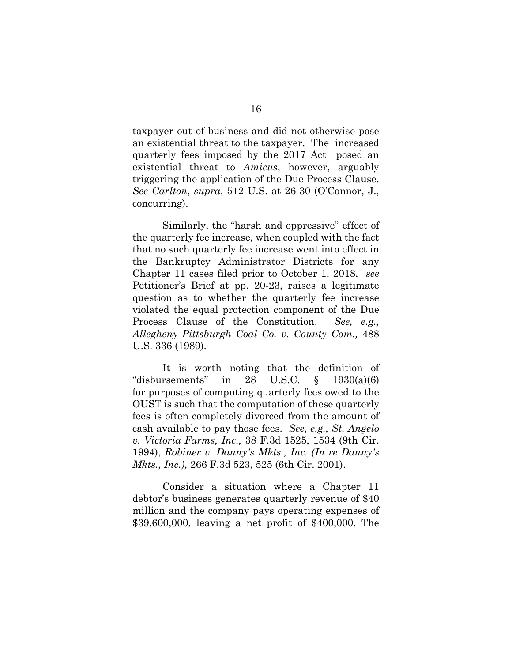taxpayer out of business and did not otherwise pose an existential threat to the taxpayer. The increased quarterly fees imposed by the 2017 Act posed an existential threat to *Amicus*, however, arguably triggering the application of the Due Process Clause. *See Carlton*, *supra*, 512 U.S. at 26-30 (O'Connor, J., concurring).

Similarly, the "harsh and oppressive" effect of the quarterly fee increase, when coupled with the fact that no such quarterly fee increase went into effect in the Bankruptcy Administrator Districts for any Chapter 11 cases filed prior to October 1, 2018, *see* Petitioner's Brief at pp. 20-23, raises a legitimate question as to whether the quarterly fee increase violated the equal protection component of the Due Process Clause of the Constitution. *See, e.g., Allegheny Pittsburgh Coal Co. v. County Com.,* 488 U.S. 336 (1989).

It is worth noting that the definition of "disbursements" in  $28$  U.S.C.  $\S$  1930(a)(6) for purposes of computing quarterly fees owed to the OUST is such that the computation of these quarterly fees is often completely divorced from the amount of cash available to pay those fees. *See, e.g., St. Angelo v. Victoria Farms, Inc.,* 38 F.3d 1525, 1534 (9th Cir. 1994), *Robiner v. Danny's Mkts., Inc. (In re Danny's Mkts., Inc.),* 266 F.3d 523, 525 (6th Cir. 2001).

Consider a situation where a Chapter 11 debtor's business generates quarterly revenue of \$40 million and the company pays operating expenses of \$39,600,000, leaving a net profit of \$400,000. The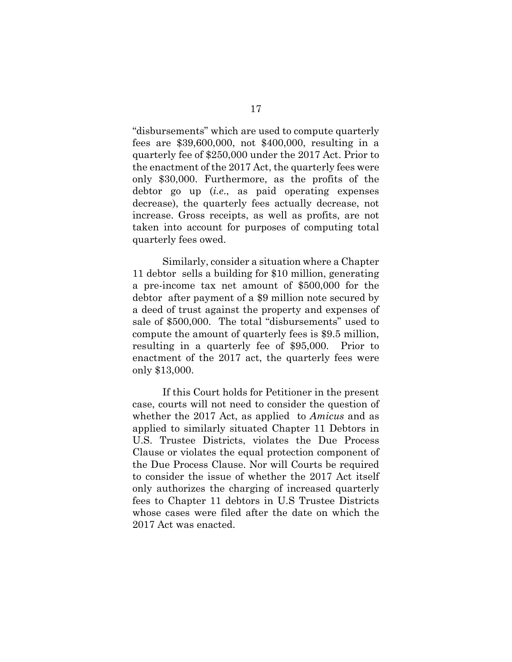"disbursements" which are used to compute quarterly fees are \$39,600,000, not \$400,000, resulting in a quarterly fee of \$250,000 under the 2017 Act. Prior to the enactment of the 2017 Act, the quarterly fees were only \$30,000. Furthermore, as the profits of the debtor go up (*i.e*., as paid operating expenses decrease), the quarterly fees actually decrease, not increase. Gross receipts, as well as profits, are not taken into account for purposes of computing total quarterly fees owed.

Similarly, consider a situation where a Chapter 11 debtor sells a building for \$10 million, generating a pre-income tax net amount of \$500,000 for the debtor after payment of a \$9 million note secured by a deed of trust against the property and expenses of sale of \$500,000. The total "disbursements" used to compute the amount of quarterly fees is \$9.5 million, resulting in a quarterly fee of \$95,000. Prior to enactment of the 2017 act, the quarterly fees were only \$13,000.

If this Court holds for Petitioner in the present case, courts will not need to consider the question of whether the 2017 Act, as applied to *Amicus* and as applied to similarly situated Chapter 11 Debtors in U.S. Trustee Districts, violates the Due Process Clause or violates the equal protection component of the Due Process Clause. Nor will Courts be required to consider the issue of whether the 2017 Act itself only authorizes the charging of increased quarterly fees to Chapter 11 debtors in U.S Trustee Districts whose cases were filed after the date on which the 2017 Act was enacted.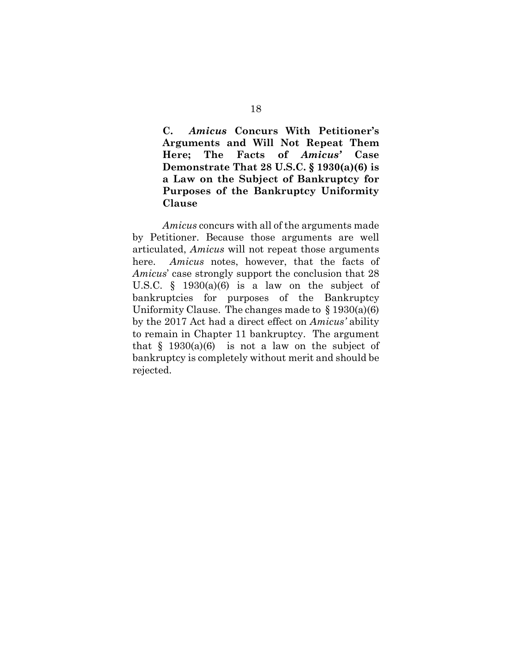**C.** *Amicus* **Concurs With Petitioner's Arguments and Will Not Repeat Them Here; The Facts of** *Amicus'* **Case Demonstrate That 28 U.S.C. § 1930(a)(6) is a Law on the Subject of Bankruptcy for Purposes of the Bankruptcy Uniformity Clause** 

*Amicus* concurs with all of the arguments made by Petitioner. Because those arguments are well articulated, *Amicus* will not repeat those arguments here. *Amicus* notes, however, that the facts of *Amicus*' case strongly support the conclusion that 28 U.S.C.  $\S$  1930(a)(6) is a law on the subject of bankruptcies for purposes of the Bankruptcy Uniformity Clause. The changes made to  $\S 1930(a)(6)$ by the 2017 Act had a direct effect on *Amicus'* ability to remain in Chapter 11 bankruptcy. The argument that  $\frac{1930(a)(6)}{b}$  is not a law on the subject of bankruptcy is completely without merit and should be rejected.